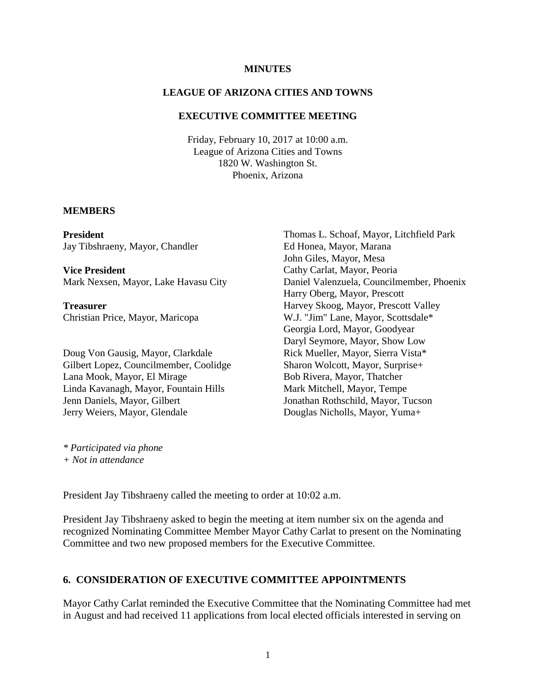#### **MINUTES**

### **LEAGUE OF ARIZONA CITIES AND TOWNS**

### **EXECUTIVE COMMITTEE MEETING**

Friday, February 10, 2017 at 10:00 a.m. League of Arizona Cities and Towns 1820 W. Washington St. Phoenix, Arizona

#### **MEMBERS**

**President** Jay Tibshraeny, Mayor, Chandler

**Vice President** Mark Nexsen, Mayor, Lake Havasu City

**Treasurer** Christian Price, Mayor, Maricopa

Doug Von Gausig, Mayor, Clarkdale Gilbert Lopez, Councilmember, Coolidge Lana Mook, Mayor, El Mirage Linda Kavanagh, Mayor, Fountain Hills Jenn Daniels, Mayor, Gilbert Jerry Weiers, Mayor, Glendale

Thomas L. Schoaf, Mayor, Litchfield Park Ed Honea, Mayor, Marana John Giles, Mayor, Mesa Cathy Carlat, Mayor, Peoria Daniel Valenzuela, Councilmember, Phoenix Harry Oberg, Mayor, Prescott Harvey Skoog, Mayor, Prescott Valley W.J. "Jim" Lane, Mayor, Scottsdale\* Georgia Lord, Mayor, Goodyear Daryl Seymore, Mayor, Show Low Rick Mueller, Mayor, Sierra Vista\* Sharon Wolcott, Mayor, Surprise+ Bob Rivera, Mayor, Thatcher Mark Mitchell, Mayor, Tempe Jonathan Rothschild, Mayor, Tucson Douglas Nicholls, Mayor, Yuma+

*\* Participated via phone + Not in attendance*

President Jay Tibshraeny called the meeting to order at 10:02 a.m.

President Jay Tibshraeny asked to begin the meeting at item number six on the agenda and recognized Nominating Committee Member Mayor Cathy Carlat to present on the Nominating Committee and two new proposed members for the Executive Committee.

### **6. CONSIDERATION OF EXECUTIVE COMMITTEE APPOINTMENTS**

Mayor Cathy Carlat reminded the Executive Committee that the Nominating Committee had met in August and had received 11 applications from local elected officials interested in serving on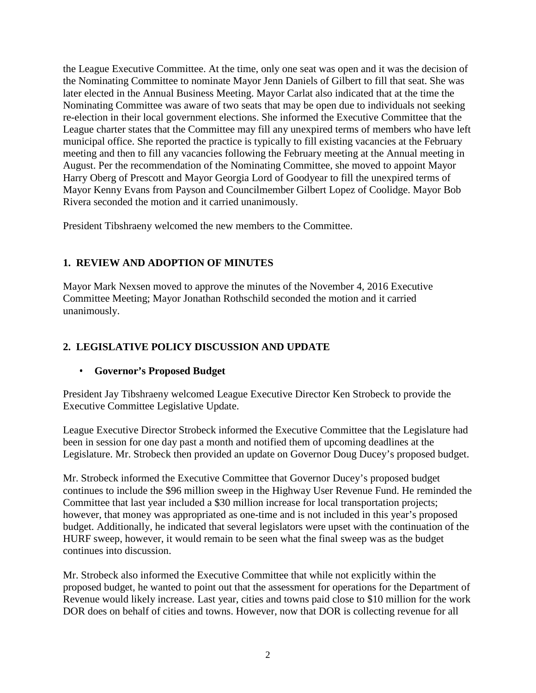the League Executive Committee. At the time, only one seat was open and it was the decision of the Nominating Committee to nominate Mayor Jenn Daniels of Gilbert to fill that seat. She was later elected in the Annual Business Meeting. Mayor Carlat also indicated that at the time the Nominating Committee was aware of two seats that may be open due to individuals not seeking re-election in their local government elections. She informed the Executive Committee that the League charter states that the Committee may fill any unexpired terms of members who have left municipal office. She reported the practice is typically to fill existing vacancies at the February meeting and then to fill any vacancies following the February meeting at the Annual meeting in August. Per the recommendation of the Nominating Committee, she moved to appoint Mayor Harry Oberg of Prescott and Mayor Georgia Lord of Goodyear to fill the unexpired terms of Mayor Kenny Evans from Payson and Councilmember Gilbert Lopez of Coolidge. Mayor Bob Rivera seconded the motion and it carried unanimously.

President Tibshraeny welcomed the new members to the Committee.

## **1. REVIEW AND ADOPTION OF MINUTES**

Mayor Mark Nexsen moved to approve the minutes of the November 4, 2016 Executive Committee Meeting; Mayor Jonathan Rothschild seconded the motion and it carried unanimously.

# **2. LEGISLATIVE POLICY DISCUSSION AND UPDATE**

## • **Governor's Proposed Budget**

President Jay Tibshraeny welcomed League Executive Director Ken Strobeck to provide the Executive Committee Legislative Update.

League Executive Director Strobeck informed the Executive Committee that the Legislature had been in session for one day past a month and notified them of upcoming deadlines at the Legislature. Mr. Strobeck then provided an update on Governor Doug Ducey's proposed budget.

Mr. Strobeck informed the Executive Committee that Governor Ducey's proposed budget continues to include the \$96 million sweep in the Highway User Revenue Fund. He reminded the Committee that last year included a \$30 million increase for local transportation projects; however, that money was appropriated as one-time and is not included in this year's proposed budget. Additionally, he indicated that several legislators were upset with the continuation of the HURF sweep, however, it would remain to be seen what the final sweep was as the budget continues into discussion.

Mr. Strobeck also informed the Executive Committee that while not explicitly within the proposed budget, he wanted to point out that the assessment for operations for the Department of Revenue would likely increase. Last year, cities and towns paid close to \$10 million for the work DOR does on behalf of cities and towns. However, now that DOR is collecting revenue for all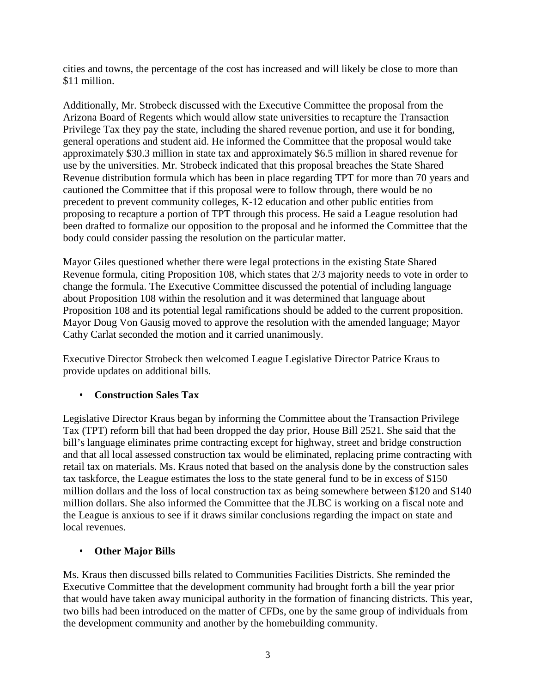cities and towns, the percentage of the cost has increased and will likely be close to more than \$11 million.

Additionally, Mr. Strobeck discussed with the Executive Committee the proposal from the Arizona Board of Regents which would allow state universities to recapture the Transaction Privilege Tax they pay the state, including the shared revenue portion, and use it for bonding, general operations and student aid. He informed the Committee that the proposal would take approximately \$30.3 million in state tax and approximately \$6.5 million in shared revenue for use by the universities. Mr. Strobeck indicated that this proposal breaches the State Shared Revenue distribution formula which has been in place regarding TPT for more than 70 years and cautioned the Committee that if this proposal were to follow through, there would be no precedent to prevent community colleges, K-12 education and other public entities from proposing to recapture a portion of TPT through this process. He said a League resolution had been drafted to formalize our opposition to the proposal and he informed the Committee that the body could consider passing the resolution on the particular matter.

Mayor Giles questioned whether there were legal protections in the existing State Shared Revenue formula, citing Proposition 108, which states that 2/3 majority needs to vote in order to change the formula. The Executive Committee discussed the potential of including language about Proposition 108 within the resolution and it was determined that language about Proposition 108 and its potential legal ramifications should be added to the current proposition. Mayor Doug Von Gausig moved to approve the resolution with the amended language; Mayor Cathy Carlat seconded the motion and it carried unanimously.

Executive Director Strobeck then welcomed League Legislative Director Patrice Kraus to provide updates on additional bills.

### • **Construction Sales Tax**

Legislative Director Kraus began by informing the Committee about the Transaction Privilege Tax (TPT) reform bill that had been dropped the day prior, House Bill 2521. She said that the bill's language eliminates prime contracting except for highway, street and bridge construction and that all local assessed construction tax would be eliminated, replacing prime contracting with retail tax on materials. Ms. Kraus noted that based on the analysis done by the construction sales tax taskforce, the League estimates the loss to the state general fund to be in excess of \$150 million dollars and the loss of local construction tax as being somewhere between \$120 and \$140 million dollars. She also informed the Committee that the JLBC is working on a fiscal note and the League is anxious to see if it draws similar conclusions regarding the impact on state and local revenues.

### • **Other Major Bills**

Ms. Kraus then discussed bills related to Communities Facilities Districts. She reminded the Executive Committee that the development community had brought forth a bill the year prior that would have taken away municipal authority in the formation of financing districts. This year, two bills had been introduced on the matter of CFDs, one by the same group of individuals from the development community and another by the homebuilding community.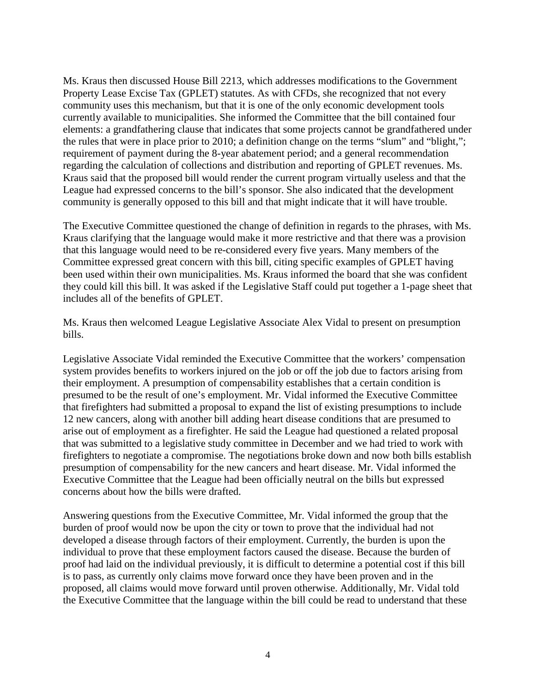Ms. Kraus then discussed House Bill 2213, which addresses modifications to the Government Property Lease Excise Tax (GPLET) statutes. As with CFDs, she recognized that not every community uses this mechanism, but that it is one of the only economic development tools currently available to municipalities. She informed the Committee that the bill contained four elements: a grandfathering clause that indicates that some projects cannot be grandfathered under the rules that were in place prior to 2010; a definition change on the terms "slum" and "blight,"; requirement of payment during the 8-year abatement period; and a general recommendation regarding the calculation of collections and distribution and reporting of GPLET revenues. Ms. Kraus said that the proposed bill would render the current program virtually useless and that the League had expressed concerns to the bill's sponsor. She also indicated that the development community is generally opposed to this bill and that might indicate that it will have trouble.

The Executive Committee questioned the change of definition in regards to the phrases, with Ms. Kraus clarifying that the language would make it more restrictive and that there was a provision that this language would need to be re-considered every five years. Many members of the Committee expressed great concern with this bill, citing specific examples of GPLET having been used within their own municipalities. Ms. Kraus informed the board that she was confident they could kill this bill. It was asked if the Legislative Staff could put together a 1-page sheet that includes all of the benefits of GPLET.

Ms. Kraus then welcomed League Legislative Associate Alex Vidal to present on presumption bills.

Legislative Associate Vidal reminded the Executive Committee that the workers' compensation system provides benefits to workers injured on the job or off the job due to factors arising from their employment. A presumption of compensability establishes that a certain condition is presumed to be the result of one's employment. Mr. Vidal informed the Executive Committee that firefighters had submitted a proposal to expand the list of existing presumptions to include 12 new cancers, along with another bill adding heart disease conditions that are presumed to arise out of employment as a firefighter. He said the League had questioned a related proposal that was submitted to a legislative study committee in December and we had tried to work with firefighters to negotiate a compromise. The negotiations broke down and now both bills establish presumption of compensability for the new cancers and heart disease. Mr. Vidal informed the Executive Committee that the League had been officially neutral on the bills but expressed concerns about how the bills were drafted.

Answering questions from the Executive Committee, Mr. Vidal informed the group that the burden of proof would now be upon the city or town to prove that the individual had not developed a disease through factors of their employment. Currently, the burden is upon the individual to prove that these employment factors caused the disease. Because the burden of proof had laid on the individual previously, it is difficult to determine a potential cost if this bill is to pass, as currently only claims move forward once they have been proven and in the proposed, all claims would move forward until proven otherwise. Additionally, Mr. Vidal told the Executive Committee that the language within the bill could be read to understand that these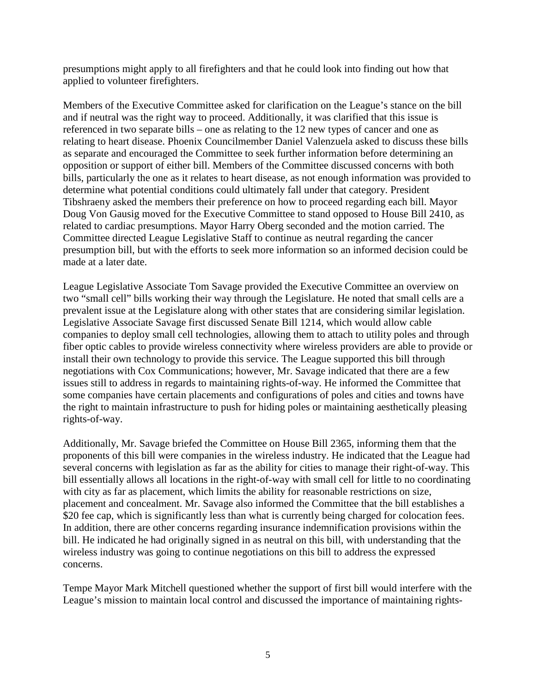presumptions might apply to all firefighters and that he could look into finding out how that applied to volunteer firefighters.

Members of the Executive Committee asked for clarification on the League's stance on the bill and if neutral was the right way to proceed. Additionally, it was clarified that this issue is referenced in two separate bills – one as relating to the 12 new types of cancer and one as relating to heart disease. Phoenix Councilmember Daniel Valenzuela asked to discuss these bills as separate and encouraged the Committee to seek further information before determining an opposition or support of either bill. Members of the Committee discussed concerns with both bills, particularly the one as it relates to heart disease, as not enough information was provided to determine what potential conditions could ultimately fall under that category. President Tibshraeny asked the members their preference on how to proceed regarding each bill. Mayor Doug Von Gausig moved for the Executive Committee to stand opposed to House Bill 2410, as related to cardiac presumptions. Mayor Harry Oberg seconded and the motion carried. The Committee directed League Legislative Staff to continue as neutral regarding the cancer presumption bill, but with the efforts to seek more information so an informed decision could be made at a later date.

League Legislative Associate Tom Savage provided the Executive Committee an overview on two "small cell" bills working their way through the Legislature. He noted that small cells are a prevalent issue at the Legislature along with other states that are considering similar legislation. Legislative Associate Savage first discussed Senate Bill 1214, which would allow cable companies to deploy small cell technologies, allowing them to attach to utility poles and through fiber optic cables to provide wireless connectivity where wireless providers are able to provide or install their own technology to provide this service. The League supported this bill through negotiations with Cox Communications; however, Mr. Savage indicated that there are a few issues still to address in regards to maintaining rights-of-way. He informed the Committee that some companies have certain placements and configurations of poles and cities and towns have the right to maintain infrastructure to push for hiding poles or maintaining aesthetically pleasing rights-of-way.

Additionally, Mr. Savage briefed the Committee on House Bill 2365, informing them that the proponents of this bill were companies in the wireless industry. He indicated that the League had several concerns with legislation as far as the ability for cities to manage their right-of-way. This bill essentially allows all locations in the right-of-way with small cell for little to no coordinating with city as far as placement, which limits the ability for reasonable restrictions on size, placement and concealment. Mr. Savage also informed the Committee that the bill establishes a \$20 fee cap, which is significantly less than what is currently being charged for colocation fees. In addition, there are other concerns regarding insurance indemnification provisions within the bill. He indicated he had originally signed in as neutral on this bill, with understanding that the wireless industry was going to continue negotiations on this bill to address the expressed concerns.

Tempe Mayor Mark Mitchell questioned whether the support of first bill would interfere with the League's mission to maintain local control and discussed the importance of maintaining rights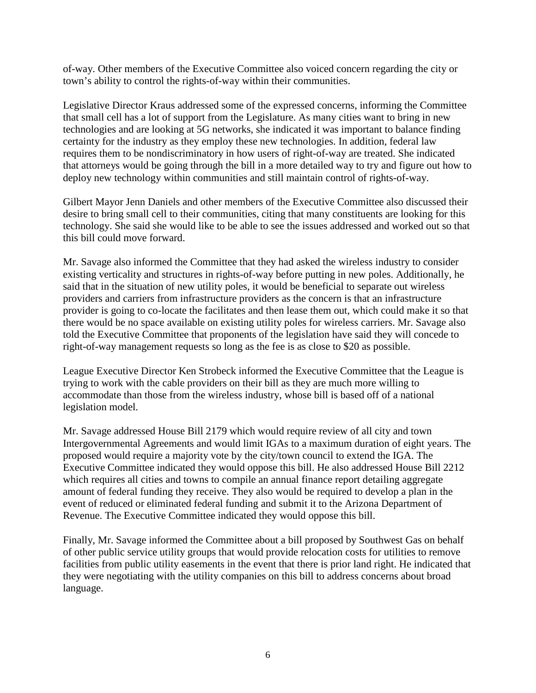of-way. Other members of the Executive Committee also voiced concern regarding the city or town's ability to control the rights-of-way within their communities.

Legislative Director Kraus addressed some of the expressed concerns, informing the Committee that small cell has a lot of support from the Legislature. As many cities want to bring in new technologies and are looking at 5G networks, she indicated it was important to balance finding certainty for the industry as they employ these new technologies. In addition, federal law requires them to be nondiscriminatory in how users of right-of-way are treated. She indicated that attorneys would be going through the bill in a more detailed way to try and figure out how to deploy new technology within communities and still maintain control of rights-of-way.

Gilbert Mayor Jenn Daniels and other members of the Executive Committee also discussed their desire to bring small cell to their communities, citing that many constituents are looking for this technology. She said she would like to be able to see the issues addressed and worked out so that this bill could move forward.

Mr. Savage also informed the Committee that they had asked the wireless industry to consider existing verticality and structures in rights-of-way before putting in new poles. Additionally, he said that in the situation of new utility poles, it would be beneficial to separate out wireless providers and carriers from infrastructure providers as the concern is that an infrastructure provider is going to co-locate the facilitates and then lease them out, which could make it so that there would be no space available on existing utility poles for wireless carriers. Mr. Savage also told the Executive Committee that proponents of the legislation have said they will concede to right-of-way management requests so long as the fee is as close to \$20 as possible.

League Executive Director Ken Strobeck informed the Executive Committee that the League is trying to work with the cable providers on their bill as they are much more willing to accommodate than those from the wireless industry, whose bill is based off of a national legislation model.

Mr. Savage addressed House Bill 2179 which would require review of all city and town Intergovernmental Agreements and would limit IGAs to a maximum duration of eight years. The proposed would require a majority vote by the city/town council to extend the IGA. The Executive Committee indicated they would oppose this bill. He also addressed House Bill 2212 which requires all cities and towns to compile an annual finance report detailing aggregate amount of federal funding they receive. They also would be required to develop a plan in the event of reduced or eliminated federal funding and submit it to the Arizona Department of Revenue. The Executive Committee indicated they would oppose this bill.

Finally, Mr. Savage informed the Committee about a bill proposed by Southwest Gas on behalf of other public service utility groups that would provide relocation costs for utilities to remove facilities from public utility easements in the event that there is prior land right. He indicated that they were negotiating with the utility companies on this bill to address concerns about broad language.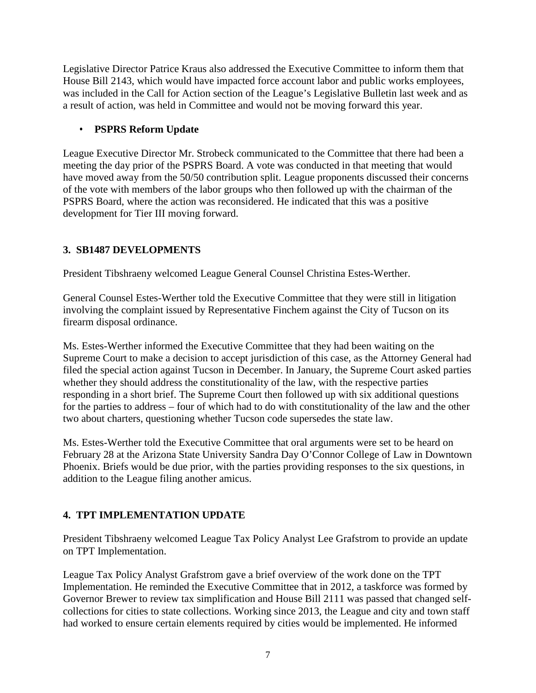Legislative Director Patrice Kraus also addressed the Executive Committee to inform them that House Bill 2143, which would have impacted force account labor and public works employees, was included in the Call for Action section of the League's Legislative Bulletin last week and as a result of action, was held in Committee and would not be moving forward this year.

## • **PSPRS Reform Update**

League Executive Director Mr. Strobeck communicated to the Committee that there had been a meeting the day prior of the PSPRS Board. A vote was conducted in that meeting that would have moved away from the 50/50 contribution split. League proponents discussed their concerns of the vote with members of the labor groups who then followed up with the chairman of the PSPRS Board, where the action was reconsidered. He indicated that this was a positive development for Tier III moving forward.

## **3. SB1487 DEVELOPMENTS**

President Tibshraeny welcomed League General Counsel Christina Estes-Werther.

General Counsel Estes-Werther told the Executive Committee that they were still in litigation involving the complaint issued by Representative Finchem against the City of Tucson on its firearm disposal ordinance.

Ms. Estes-Werther informed the Executive Committee that they had been waiting on the Supreme Court to make a decision to accept jurisdiction of this case, as the Attorney General had filed the special action against Tucson in December. In January, the Supreme Court asked parties whether they should address the constitutionality of the law, with the respective parties responding in a short brief. The Supreme Court then followed up with six additional questions for the parties to address – four of which had to do with constitutionality of the law and the other two about charters, questioning whether Tucson code supersedes the state law.

Ms. Estes-Werther told the Executive Committee that oral arguments were set to be heard on February 28 at the Arizona State University Sandra Day O'Connor College of Law in Downtown Phoenix. Briefs would be due prior, with the parties providing responses to the six questions, in addition to the League filing another amicus.

## **4. TPT IMPLEMENTATION UPDATE**

President Tibshraeny welcomed League Tax Policy Analyst Lee Grafstrom to provide an update on TPT Implementation.

League Tax Policy Analyst Grafstrom gave a brief overview of the work done on the TPT Implementation. He reminded the Executive Committee that in 2012, a taskforce was formed by Governor Brewer to review tax simplification and House Bill 2111 was passed that changed selfcollections for cities to state collections. Working since 2013, the League and city and town staff had worked to ensure certain elements required by cities would be implemented. He informed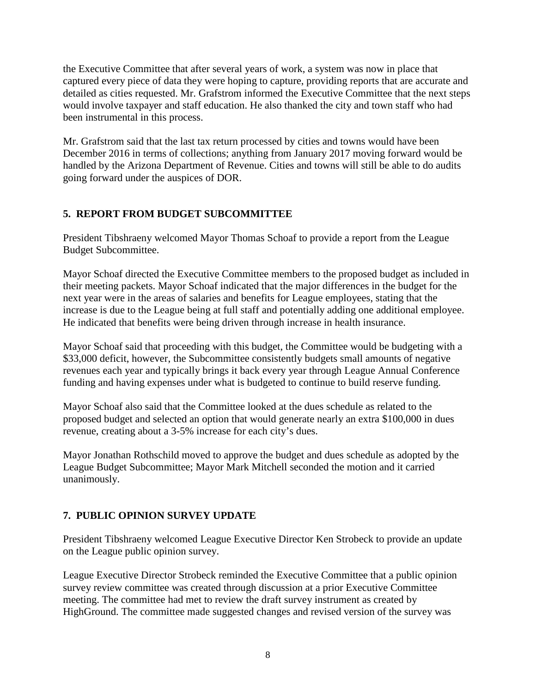the Executive Committee that after several years of work, a system was now in place that captured every piece of data they were hoping to capture, providing reports that are accurate and detailed as cities requested. Mr. Grafstrom informed the Executive Committee that the next steps would involve taxpayer and staff education. He also thanked the city and town staff who had been instrumental in this process.

Mr. Grafstrom said that the last tax return processed by cities and towns would have been December 2016 in terms of collections; anything from January 2017 moving forward would be handled by the Arizona Department of Revenue. Cities and towns will still be able to do audits going forward under the auspices of DOR.

### **5. REPORT FROM BUDGET SUBCOMMITTEE**

President Tibshraeny welcomed Mayor Thomas Schoaf to provide a report from the League Budget Subcommittee.

Mayor Schoaf directed the Executive Committee members to the proposed budget as included in their meeting packets. Mayor Schoaf indicated that the major differences in the budget for the next year were in the areas of salaries and benefits for League employees, stating that the increase is due to the League being at full staff and potentially adding one additional employee. He indicated that benefits were being driven through increase in health insurance.

Mayor Schoaf said that proceeding with this budget, the Committee would be budgeting with a \$33,000 deficit, however, the Subcommittee consistently budgets small amounts of negative revenues each year and typically brings it back every year through League Annual Conference funding and having expenses under what is budgeted to continue to build reserve funding.

Mayor Schoaf also said that the Committee looked at the dues schedule as related to the proposed budget and selected an option that would generate nearly an extra \$100,000 in dues revenue, creating about a 3-5% increase for each city's dues.

Mayor Jonathan Rothschild moved to approve the budget and dues schedule as adopted by the League Budget Subcommittee; Mayor Mark Mitchell seconded the motion and it carried unanimously.

## **7. PUBLIC OPINION SURVEY UPDATE**

President Tibshraeny welcomed League Executive Director Ken Strobeck to provide an update on the League public opinion survey.

League Executive Director Strobeck reminded the Executive Committee that a public opinion survey review committee was created through discussion at a prior Executive Committee meeting. The committee had met to review the draft survey instrument as created by HighGround. The committee made suggested changes and revised version of the survey was